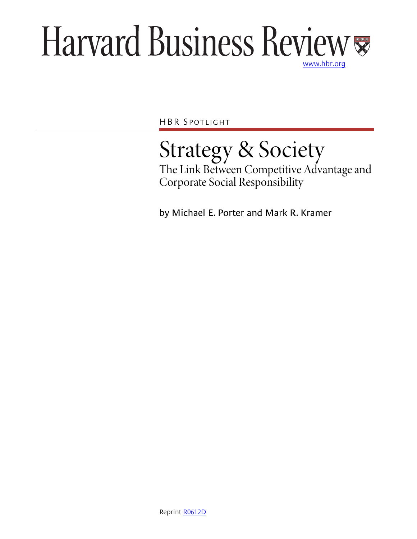# Harvard Business Review [www.hbr.org](http://www.hbr.org)

HBR SPOTLIGHT

# Strategy & Society

The Link Between Competitive Advantage and Corporate Social Responsibility

by Michael E. Porter and Mark R. Kramer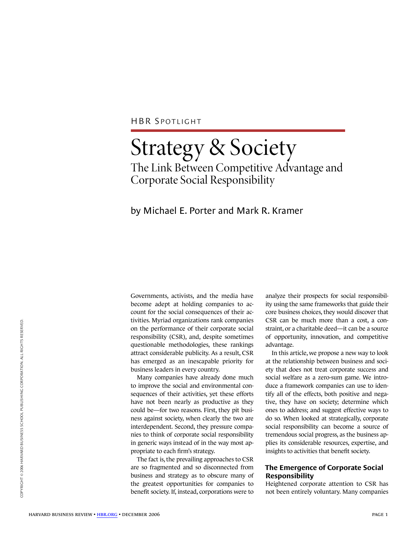HBR SPOTLIGHT

# Strategy & Society The Link Between Competitive Advantage and Corporate Social Responsibility

### by Michael E. Porter and Mark R. Kramer

Governments, activists, and the media have become adept at holding companies to account for the social consequences of their activities. Myriad organizations rank companies on the performance of their corporate social responsibility (CSR), and, despite sometimes questionable methodologies, these rankings attract considerable publicity. As a result, CSR has emerged as an inescapable priority for business leaders in every country.

Many companies have already done much to improve the social and environmental consequences of their activities, yet these efforts have not been nearly as productive as they could be—for two reasons. First, they pit business against society, when clearly the two are interdependent. Second, they pressure companies to think of corporate social responsibility in generic ways instead of in the way most appropriate to each firm's strategy.

The fact is, the prevailing approaches to CSR are so fragmented and so disconnected from business and strategy as to obscure many of the greatest opportunities for companies to benefit society. If, instead, corporations were to analyze their prospects for social responsibility using the same frameworks that guide their core business choices, they would discover that CSR can be much more than a cost, a constraint, or a charitable deed—it can be a source of opportunity, innovation, and competitive advantage.

In this article, we propose a new way to look at the relationship between business and society that does not treat corporate success and social welfare as a zero-sum game. We introduce a framework companies can use to identify all of the effects, both positive and negative, they have on society; determine which ones to address; and suggest effective ways to do so. When looked at strategically, corporate social responsibility can become a source of tremendous social progress, as the business applies its considerable resources, expertise, and insights to activities that benefit society.

#### **The Emergence of Corporate Social Responsibility**

Heightened corporate attention to CSR has not been entirely voluntary. Many companies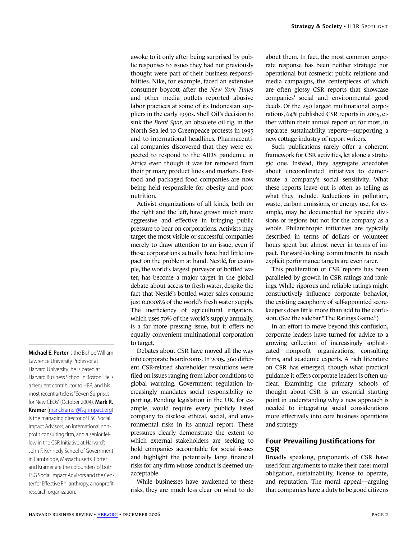awoke to it only after being surprised by public responses to issues they had not previously thought were part of their business responsibilities. Nike, for example, faced an extensive consumer boycott after the *New York Times* and other media outlets reported abusive labor practices at some of its Indonesian suppliers in the early 1990s. Shell Oil's decision to sink the *Brent Spar,* an obsolete oil rig, in the North Sea led to Greenpeace protests in 1995 and to international headlines. Pharmaceutical companies discovered that they were expected to respond to the AIDS pandemic in Africa even though it was far removed from their primary product lines and markets. Fastfood and packaged food companies are now being held responsible for obesity and poor nutrition.

Activist organizations of all kinds, both on the right and the left, have grown much more aggressive and effective in bringing public pressure to bear on corporations. Activists may target the most visible or successful companies merely to draw attention to an issue, even if those corporations actually have had little impact on the problem at hand. Nestlé, for example, the world's largest purveyor of bottled water, has become a major target in the global debate about access to fresh water, despite the fact that Nestlé's bottled water sales consume just 0.0008% of the world's fresh water supply. The inefficiency of agricultural irrigation, which uses 70% of the world's supply annually, is a far more pressing issue, but it offers no equally convenient multinational corporation to target.

Debates about CSR have moved all the way into corporate boardrooms. In 2005, 360 different CSR-related shareholder resolutions were filed on issues ranging from labor conditions to global warming. Government regulation increasingly mandates social responsibility reporting. Pending legislation in the UK, for example, would require every publicly listed company to disclose ethical, social, and environmental risks in its annual report. These pressures clearly demonstrate the extent to which external stakeholders are seeking to hold companies accountable for social issues and highlight the potentially large financial risks for any firm whose conduct is deemed unacceptable.

While businesses have awakened to these risks, they are much less clear on what to do about them. In fact, the most common corporate response has been neither strategic nor operational but cosmetic: public relations and media campaigns, the centerpieces of which are often glossy CSR reports that showcase companies' social and environmental good deeds. Of the 250 largest multinational corporations, 64% published CSR reports in 2005, either within their annual report or, for most, in separate sustainability reports—supporting a new cottage industry of report writers.

Such publications rarely offer a coherent framework for CSR activities, let alone a strategic one. Instead, they aggregate anecdotes about uncoordinated initiatives to demonstrate a company's social sensitivity. What these reports leave out is often as telling as what they include. Reductions in pollution, waste, carbon emissions, or energy use, for example, may be documented for specific divisions or regions but not for the company as a whole. Philanthropic initiatives are typically described in terms of dollars or volunteer hours spent but almost never in terms of impact. Forward-looking commitments to reach explicit performance targets are even rarer.

This proliferation of CSR reports has been paralleled by growth in CSR ratings and rankings. While rigorous and reliable ratings might constructively influence corporate behavior, the existing cacophony of self-appointed scorekeepers does little more than add to the confusion. (See the sidebar "The Ratings Game.")

In an effort to move beyond this confusion, corporate leaders have turned for advice to a growing collection of increasingly sophisticated nonprofit organizations, consulting firms, and academic experts. A rich literature on CSR has emerged, though what practical guidance it offers corporate leaders is often unclear. Examining the primary schools of thought about CSR is an essential starting point in understanding why a new approach is needed to integrating social considerations more effectively into core business operations and strategy.

#### **Four Prevailing Justifications for CSR**

Broadly speaking, proponents of CSR have used four arguments to make their case: moral obligation, sustainability, license to operate, and reputation. The moral appeal—arguing that companies have a duty to be good citizens

**Michael E. Porter**is the Bishop William Lawrence University Professor at Harvard University; he is based at Harvard Business School in Boston. He is a frequent contributor to HBR, and his most recent article is "Seven Surprises for New CEOs" (October 2004). **Mark R. Kramer** ([mark.kramer@fsg-impact.org](mailto:mark.kramer@fsg-impact.org)) is the managing director of FSG Social Impact Advisors, an international nonprofit consulting firm, and a senior fellow in the CSR Initiative at Harvard's John F. Kennedy School of Government in Cambridge, Massachusetts. Porter and Kramer are the cofounders of both FSG Social Impact Advisors and the Center for Effective Philanthropy, a nonprofit

research organization.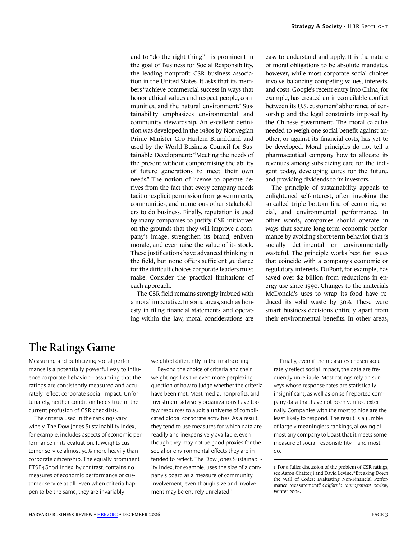and to "do the right thing"—is prominent in the goal of Business for Social Responsibility, the leading nonprofit CSR business association in the United States. It asks that its members "achieve commercial success in ways that honor ethical values and respect people, communities, and the natural environment." Sustainability emphasizes environmental and community stewardship. An excellent definition was developed in the 1980s by Norwegian Prime Minister Gro Harlem Brundtland and used by the World Business Council for Sustainable Development: "Meeting the needs of the present without compromising the ability of future generations to meet their own needs." The notion of license to operate derives from the fact that every company needs tacit or explicit permission from governments, communities, and numerous other stakeholders to do business. Finally, reputation is used by many companies to justify CSR initiatives on the grounds that they will improve a company's image, strengthen its brand, enliven morale, and even raise the value of its stock. These justifications have advanced thinking in the field, but none offers sufficient guidance for the difficult choices corporate leaders must make. Consider the practical limitations of each approach.

The CSR field remains strongly imbued with a moral imperative. In some areas, such as honesty in filing financial statements and operating within the law, moral considerations are easy to understand and apply. It is the nature of moral obligations to be absolute mandates, however, while most corporate social choices involve balancing competing values, interests, and costs. Google's recent entry into China, for example, has created an irreconcilable conflict between its U.S. customers' abhorrence of censorship and the legal constraints imposed by the Chinese government. The moral calculus needed to weigh one social benefit against another, or against its financial costs, has yet to be developed. Moral principles do not tell a pharmaceutical company how to allocate its revenues among subsidizing care for the indigent today, developing cures for the future, and providing dividends to its investors.

The principle of sustainability appeals to enlightened self-interest, often invoking the so-called triple bottom line of economic, social, and environmental performance. In other words, companies should operate in ways that secure long-term economic performance by avoiding short-term behavior that is socially detrimental or environmentally wasteful. The principle works best for issues that coincide with a company's economic or regulatory interests. DuPont, for example, has saved over \$2 billion from reductions in energy use since 1990. Changes to the materials McDonald's uses to wrap its food have reduced its solid waste by 30%. These were smart business decisions entirely apart from their environmental benefits. In other areas,

# **The Ratings Game**

Measuring and publicizing social performance is a potentially powerful way to influence corporate behavior—assuming that the ratings are consistently measured and accurately reflect corporate social impact. Unfortunately, neither condition holds true in the current profusion of CSR checklists.

The criteria used in the rankings vary widely. The Dow Jones Sustainability Index, for example, includes aspects of economic performance in its evaluation. It weights customer service almost 50% more heavily than corporate citizenship. The equally prominent FTSE4Good Index, by contrast, contains no measures of economic performance or customer service at all. Even when criteria happen to be the same, they are invariably

weighted differently in the final scoring.

Beyond the choice of criteria and their weightings lies the even more perplexing question of how to judge whether the criteria have been met. Most media, nonprofits, and investment advisory organizations have too few resources to audit a universe of complicated global corporate activities. As a result, they tend to use measures for which data are readily and inexpensively available, even though they may not be good proxies for the social or environmental effects they are intended to reflect. The Dow Jones Sustainability Index, for example, uses the size of a company's board as a measure of community involvement, even though size and involvement may be entirely unrelated.<sup>1</sup>

Finally, even if the measures chosen accurately reflect social impact, the data are frequently unreliable. Most ratings rely on surveys whose response rates are statistically insignificant, as well as on self-reported company data that have not been verified externally. Companies with the most to hide are the least likely to respond. The result is a jumble of largely meaningless rankings, allowing almost any company to boast that it meets some measure of social responsibility—and most do.

<sup>1.</sup> For a fuller discussion of the problem of CSR ratings, see Aaron Chatterii and David Levine, "Breaking Down the Wall of Codes: Evaluating Non-Financial Performance Measurement," *California Management Review,* Winter 2006.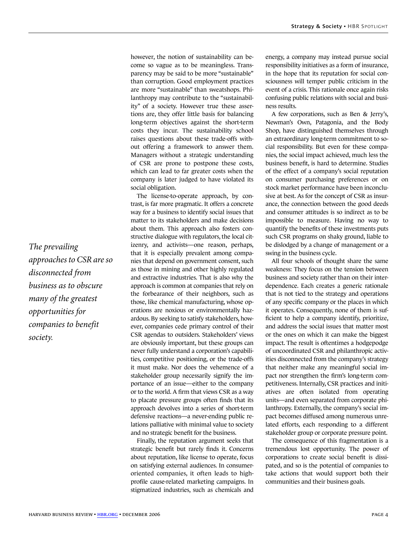however, the notion of sustainability can become so vague as to be meaningless. Transparency may be said to be more "sustainable" than corruption. Good employment practices are more "sustainable" than sweatshops. Philanthropy may contribute to the "sustainability" of a society. However true these assertions are, they offer little basis for balancing long-term objectives against the short-term costs they incur. The sustainability school raises questions about these trade-offs without offering a framework to answer them. Managers without a strategic understanding of CSR are prone to postpone these costs, which can lead to far greater costs when the company is later judged to have violated its social obligation.

The license-to-operate approach, by contrast, is far more pragmatic. It offers a concrete way for a business to identify social issues that matter to its stakeholders and make decisions about them. This approach also fosters constructive dialogue with regulators, the local citizenry, and activists—one reason, perhaps, that it is especially prevalent among companies that depend on government consent, such as those in mining and other highly regulated and extractive industries. That is also why the approach is common at companies that rely on the forbearance of their neighbors, such as those, like chemical manufacturing, whose operations are noxious or environmentally hazardous. By seeking to satisfy stakeholders, however, companies cede primary control of their CSR agendas to outsiders. Stakeholders' views are obviously important, but these groups can never fully understand a corporation's capabilities, competitive positioning, or the trade-offs it must make. Nor does the vehemence of a stakeholder group necessarily signify the importance of an issue—either to the company or to the world. A firm that views CSR as a way to placate pressure groups often finds that its approach devolves into a series of short-term defensive reactions—a never-ending public relations palliative with minimal value to society and no strategic benefit for the business.

Finally, the reputation argument seeks that strategic benefit but rarely finds it. Concerns about reputation, like license to operate, focus on satisfying external audiences. In consumeroriented companies, it often leads to highprofile cause-related marketing campaigns. In stigmatized industries, such as chemicals and

energy, a company may instead pursue social responsibility initiatives as a form of insurance, in the hope that its reputation for social consciousness will temper public criticism in the event of a crisis. This rationale once again risks confusing public relations with social and business results.

A few corporations, such as Ben & Jerry's, Newman's Own, Patagonia, and the Body Shop, have distinguished themselves through an extraordinary long-term commitment to social responsibility. But even for these companies, the social impact achieved, much less the business benefit, is hard to determine. Studies of the effect of a company's social reputation on consumer purchasing preferences or on stock market performance have been inconclusive at best. As for the concept of CSR as insurance, the connection between the good deeds and consumer attitudes is so indirect as to be impossible to measure. Having no way to quantify the benefits of these investments puts such CSR programs on shaky ground, liable to be dislodged by a change of management or a swing in the business cycle.

All four schools of thought share the same weakness: They focus on the tension between business and society rather than on their interdependence. Each creates a generic rationale that is not tied to the strategy and operations of any specific company or the places in which it operates. Consequently, none of them is sufficient to help a company identify, prioritize, and address the social issues that matter most or the ones on which it can make the biggest impact. The result is oftentimes a hodgepodge of uncoordinated CSR and philanthropic activities disconnected from the company's strategy that neither make any meaningful social impact nor strengthen the firm's long-term competitiveness. Internally, CSR practices and initiatives are often isolated from operating units—and even separated from corporate philanthropy. Externally, the company's social impact becomes diffused among numerous unrelated efforts, each responding to a different stakeholder group or corporate pressure point.

The consequence of this fragmentation is a tremendous lost opportunity. The power of corporations to create social benefit is dissipated, and so is the potential of companies to take actions that would support both their communities and their business goals.

*The prevailing approaches to CSR are so disconnected from business as to obscure many of the greatest opportunities for companies to benefit society.*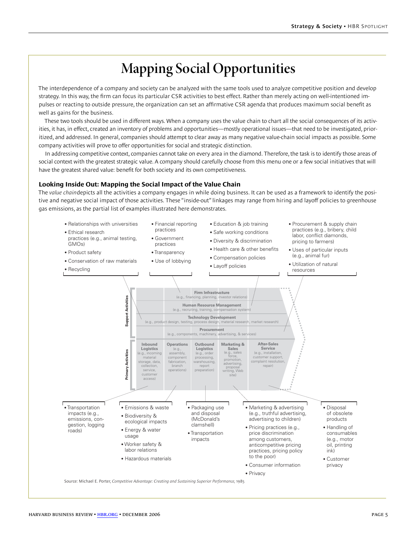# **Mapping Social Opportunities**

The interdependence of a company and society can be analyzed with the same tools used to analyze competitive position and develop strategy. In this way, the firm can focus its particular CSR activities to best effect. Rather than merely acting on well-intentioned impulses or reacting to outside pressure, the organization can set an affirmative CSR agenda that produces maximum social benefit as well as gains for the business.

These two tools should be used in different ways. When a company uses the value chain to chart all the social consequences of its activities, it has, in effect, created an inventory of problems and opportunities—mostly operational issues—that need to be investigated, prioritized, and addressed. In general, companies should attempt to clear away as many negative value-chain social impacts as possible. Some company activities will prove to offer opportunities for social and strategic distinction.

In addressing competitive context, companies cannot take on every area in the diamond. Therefore, the task is to identify those areas of social context with the greatest strategic value. A company should carefully choose from this menu one or a few social initiatives that will have the greatest shared value: benefit for both society and its own competitiveness.

#### **Looking Inside Out: Mapping the Social Impact of the Value Chain**

The *value chain*depicts all the activities a company engages in while doing business. It can be used as a framework to identify the positive and negative social impact of those activities. These "inside-out" linkages may range from hiring and layoff policies to greenhouse gas emissions, as the partial list of examples illustrated here demonstrates.

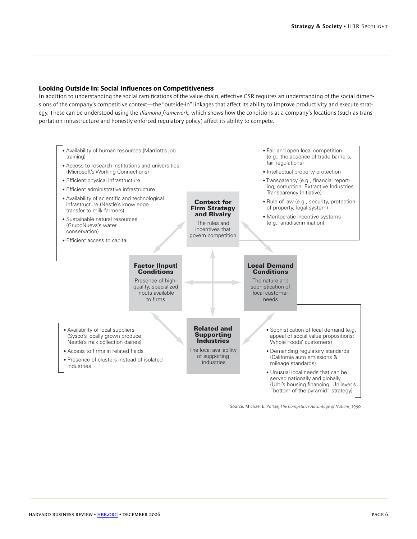#### **Looking Outside In: Social Influences on Competitiveness**

In addition to understanding the social ramifications of the value chain, effective CSR requires an understanding of the social dimensions of the company's competitive context—the "outside-in" linkages that affect its ability to improve productivity and execute strategy. These can be understood using the *diamond framework,* which shows how the conditions at a company's locations (such as transportation infrastructure and honestly enforced regulatory policy) affect its ability to compete.



Source: Michael E. Porter, *The Competitive Advantage of Nations,* 1990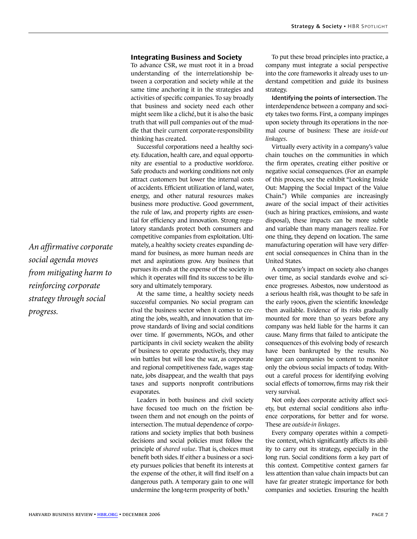#### **Integrating Business and Society**

To advance CSR, we must root it in a broad understanding of the interrelationship between a corporation and society while at the same time anchoring it in the strategies and activities of specific companies. To say broadly that business and society need each other might seem like a cliché, but it is also the basic truth that will pull companies out of the muddle that their current corporate-responsibility thinking has created.

Successful corporations need a healthy society. Education, health care, and equal opportunity are essential to a productive workforce. Safe products and working conditions not only attract customers but lower the internal costs of accidents. Efficient utilization of land, water, energy, and other natural resources makes business more productive. Good government, the rule of law, and property rights are essential for efficiency and innovation. Strong regulatory standards protect both consumers and competitive companies from exploitation. Ultimately, a healthy society creates expanding demand for business, as more human needs are met and aspirations grow. Any business that pursues its ends at the expense of the society in which it operates will find its success to be illusory and ultimately temporary.

At the same time, a healthy society needs successful companies. No social program can rival the business sector when it comes to creating the jobs, wealth, and innovation that improve standards of living and social conditions over time. If governments, NGOs, and other participants in civil society weaken the ability of business to operate productively, they may win battles but will lose the war, as corporate and regional competitiveness fade, wages stagnate, jobs disappear, and the wealth that pays taxes and supports nonprofit contributions evaporates.

Leaders in both business and civil society have focused too much on the friction between them and not enough on the points of intersection. The mutual dependence of corporations and society implies that both business decisions and social policies must follow the principle of *shared value*. That is, choices must benefit both sides. If either a business or a society pursues policies that benefit its interests at the expense of the other, it will find itself on a dangerous path. A temporary gain to one will undermine the long-term prosperity of both.<sup>1</sup>

To put these broad principles into practice, a company must integrate a social perspective into the core frameworks it already uses to understand competition and guide its business strategy.

**Identifying the points of intersection.** The interdependence between a company and society takes two forms. First, a company impinges upon society through its operations in the normal course of business: These are *inside-out linkages*.

Virtually every activity in a company's value chain touches on the communities in which the firm operates, creating either positive or negative social consequences. (For an example of this process, see the exhibit "Looking Inside Out: Mapping the Social Impact of the Value Chain.") While companies are increasingly aware of the social impact of their activities (such as hiring practices, emissions, and waste disposal), these impacts can be more subtle and variable than many managers realize. For one thing, they depend on location. The same manufacturing operation will have very different social consequences in China than in the United States.

A company's impact on society also changes over time, as social standards evolve and science progresses. Asbestos, now understood as a serious health risk, was thought to be safe in the early 1900s, given the scientific knowledge then available. Evidence of its risks gradually mounted for more than 50 years before any company was held liable for the harms it can cause. Many firms that failed to anticipate the consequences of this evolving body of research have been bankrupted by the results. No longer can companies be content to monitor only the obvious social impacts of today. Without a careful process for identifying evolving social effects of tomorrow, firms may risk their very survival.

Not only does corporate activity affect society, but external social conditions also influence corporations, for better and for worse. These are *outside-in linkages*.

Every company operates within a competitive context, which significantly affects its ability to carry out its strategy, especially in the long run. Social conditions form a key part of this context. Competitive context garners far less attention than value chain impacts but can have far greater strategic importance for both companies and societies. Ensuring the health

*An affirmative corporate social agenda moves from mitigating harm to reinforcing corporate strategy through social progress.*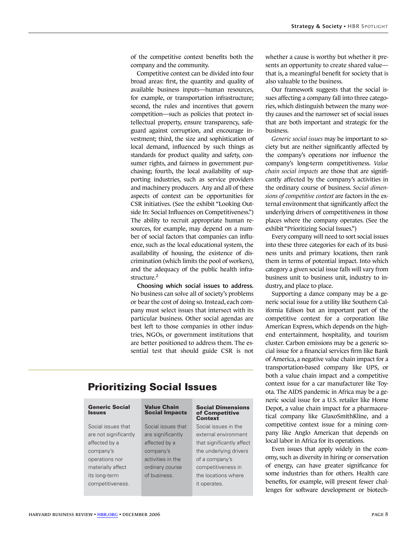of the competitive context benefits both the company and the community.

Competitive context can be divided into four broad areas: first, the quantity and quality of available business inputs—human resources, for example, or transportation infrastructure; second, the rules and incentives that govern competition—such as policies that protect intellectual property, ensure transparency, safeguard against corruption, and encourage investment; third, the size and sophistication of local demand, influenced by such things as standards for product quality and safety, consumer rights, and fairness in government purchasing; fourth, the local availability of supporting industries, such as service providers and machinery producers. Any and all of these aspects of context can be opportunities for CSR initiatives. (See the exhibit "Looking Outside In: Social Influences on Competitiveness.") The ability to recruit appropriate human resources, for example, may depend on a number of social factors that companies can influence, such as the local educational system, the availability of housing, the existence of discrimination (which limits the pool of workers), and the adequacy of the public health infrastructure.<sup>2</sup>

**Choosing which social issues to address.** No business can solve all of society's problems or bear the cost of doing so. Instead, each company must select issues that intersect with its particular business. Other social agendas are best left to those companies in other industries, NGOs, or government institutions that are better positioned to address them. The essential test that should guide CSR is not

## **Prioritizing Social Issues**

| Generic Social<br>Issues | <b>Value Chain</b><br><b>Social Impacts</b> | <b>Social Dimensions</b><br>of Competitive<br><b>Context</b> |
|--------------------------|---------------------------------------------|--------------------------------------------------------------|
| Social issues that       | Social issues that                          | Social issues in the                                         |
| are not significantly    | are significantly                           | external environment                                         |
| affected by a            | affected by a                               | that significantly affect                                    |
| company's                | company's                                   | the underlying drivers                                       |
| operations nor           | activities in the                           | of a company's                                               |
| materially affect        | ordinary course                             | competitiveness in                                           |
| its long-term            | of business.                                | the locations where                                          |
| competitiveness.         |                                             | it operates.                                                 |

whether a cause is worthy but whether it presents an opportunity to create shared value that is, a meaningful benefit for society that is also valuable to the business.

Our framework suggests that the social issues affecting a company fall into three categories, which distinguish between the many worthy causes and the narrower set of social issues that are both important and strategic for the business.

*Generic social issues* may be important to society but are neither significantly affected by the company's operations nor influence the company's long-term competitiveness. *Value chain social impacts* are those that are significantly affected by the company's activities in the ordinary course of business. *Social dimensions of competitive context* are factors in the external environment that significantly affect the underlying drivers of competitiveness in those places where the company operates. (See the exhibit "Prioritizing Social Issues.")

Every company will need to sort social issues into these three categories for each of its business units and primary locations, then rank them in terms of potential impact. Into which category a given social issue falls will vary from business unit to business unit, industry to industry, and place to place.

Supporting a dance company may be a generic social issue for a utility like Southern California Edison but an important part of the competitive context for a corporation like American Express, which depends on the highend entertainment, hospitality, and tourism cluster. Carbon emissions may be a generic social issue for a financial services firm like Bank of America, a negative value chain impact for a transportation-based company like UPS, or both a value chain impact and a competitive context issue for a car manufacturer like Toyota. The AIDS pandemic in Africa may be a generic social issue for a U.S. retailer like Home Depot, a value chain impact for a pharmaceutical company like GlaxoSmithKline, and a competitive context issue for a mining company like Anglo American that depends on local labor in Africa for its operations.

Even issues that apply widely in the economy, such as diversity in hiring or conservation of energy, can have greater significance for some industries than for others. Health care benefits, for example, will present fewer challenges for software development or biotech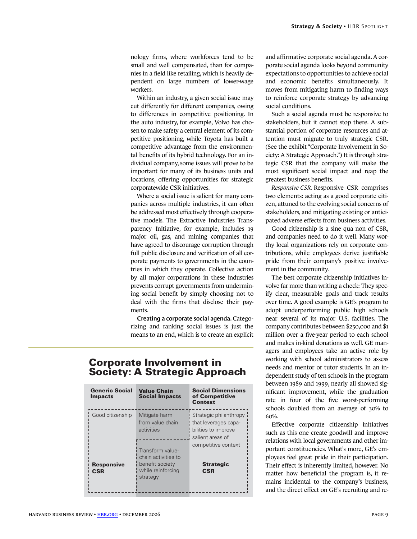nology firms, where workforces tend to be small and well compensated, than for companies in a field like retailing, which is heavily dependent on large numbers of lower-wage workers.

Within an industry, a given social issue may cut differently for different companies, owing to differences in competitive positioning. In the auto industry, for example, Volvo has chosen to make safety a central element of its competitive positioning, while Toyota has built a competitive advantage from the environmental benefits of its hybrid technology. For an individual company, some issues will prove to be important for many of its business units and locations, offering opportunities for strategic corporatewide CSR initiatives.

Where a social issue is salient for many companies across multiple industries, it can often be addressed most effectively through cooperative models. The Extractive Industries Transparency Initiative, for example, includes 19 major oil, gas, and mining companies that have agreed to discourage corruption through full public disclosure and verification of all corporate payments to governments in the countries in which they operate. Collective action by all major corporations in these industries prevents corrupt governments from undermining social benefit by simply choosing not to deal with the firms that disclose their payments.

**Creating a corporate social agenda.** Categorizing and ranking social issues is just the means to an end, which is to create an explicit

### **Corporate Involvement in Society: A Strategic Approach**

| <b>Generic Social</b><br><b>Impacts</b> | <b>Value Chain</b><br><b>Social Impacts</b>                                                 | <b>Social Dimensions</b><br>of Competitive<br><b>Context</b>                              |
|-----------------------------------------|---------------------------------------------------------------------------------------------|-------------------------------------------------------------------------------------------|
| Good citizenship                        | Mitigate harm<br>from value chain<br>activities                                             | Strategic philanthropy<br>that leverages capa-<br>bilities to improve<br>salient areas of |
| <b>Responsive</b><br>CSR                | Transform value-<br>chain activities to<br>benefit society<br>while reinforcing<br>strategy | competitive context<br><b>Strategic</b><br><b>CSR</b>                                     |

and affirmative corporate social agenda. A corporate social agenda looks beyond community expectations to opportunities to achieve social and economic benefits simultaneously. It moves from mitigating harm to finding ways to reinforce corporate strategy by advancing social conditions.

Such a social agenda must be responsive to stakeholders, but it cannot stop there. A substantial portion of corporate resources and attention must migrate to truly strategic CSR. (See the exhibit "Corporate Involvement in Society: A Strategic Approach.") It is through strategic CSR that the company will make the most significant social impact and reap the greatest business benefits.

*Responsive CSR.* Responsive CSR comprises two elements: acting as a good corporate citizen, attuned to the evolving social concerns of stakeholders, and mitigating existing or anticipated adverse effects from business activities.

Good citizenship is a sine qua non of CSR, and companies need to do it well. Many worthy local organizations rely on corporate contributions, while employees derive justifiable pride from their company's positive involvement in the community.

The best corporate citizenship initiatives involve far more than writing a check: They specify clear, measurable goals and track results over time. A good example is GE's program to adopt underperforming public high schools near several of its major U.S. facilities. The company contributes between \$250,000 and \$1 million over a five-year period to each school and makes in-kind donations as well. GE managers and employees take an active role by working with school administrators to assess needs and mentor or tutor students. In an independent study of ten schools in the program between 1989 and 1999, nearly all showed significant improvement, while the graduation rate in four of the five worst-performing schools doubled from an average of 30% to 60%.

Effective corporate citizenship initiatives such as this one create goodwill and improve relations with local governments and other important constituencies. What's more, GE's employees feel great pride in their participation. Their effect is inherently limited, however. No matter how beneficial the program is, it remains incidental to the company's business, and the direct effect on GE's recruiting and re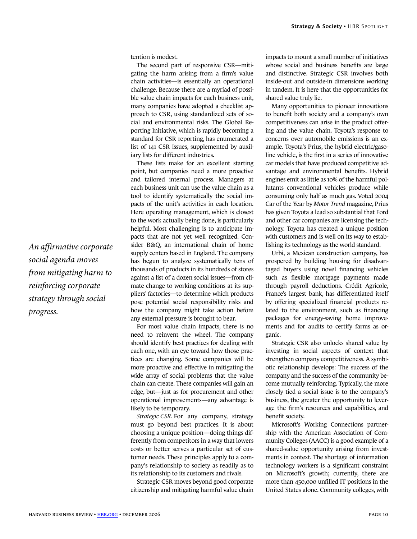tention is modest.

The second part of responsive CSR—mitigating the harm arising from a firm's value chain activities—is essentially an operational challenge. Because there are a myriad of possible value chain impacts for each business unit, many companies have adopted a checklist approach to CSR, using standardized sets of social and environmental risks. The Global Reporting Initiative, which is rapidly becoming a standard for CSR reporting, has enumerated a list of 141 CSR issues, supplemented by auxiliary lists for different industries.

These lists make for an excellent starting point, but companies need a more proactive and tailored internal process. Managers at each business unit can use the value chain as a tool to identify systematically the social impacts of the unit's activities in each location. Here operating management, which is closest to the work actually being done, is particularly helpful. Most challenging is to anticipate impacts that are not yet well recognized. Consider B&Q, an international chain of home supply centers based in England. The company has begun to analyze systematically tens of thousands of products in its hundreds of stores against a list of a dozen social issues—from climate change to working conditions at its suppliers' factories—to determine which products pose potential social responsibility risks and how the company might take action before any external pressure is brought to bear.

For most value chain impacts, there is no need to reinvent the wheel. The company should identify best practices for dealing with each one, with an eye toward how those practices are changing. Some companies will be more proactive and effective in mitigating the wide array of social problems that the value chain can create. These companies will gain an edge, but—just as for procurement and other operational improvements—any advantage is likely to be temporary.

*Strategic CSR.* For any company, strategy must go beyond best practices. It is about choosing a unique position—doing things differently from competitors in a way that lowers costs or better serves a particular set of customer needs. These principles apply to a company's relationship to society as readily as to its relationship to its customers and rivals.

Strategic CSR moves beyond good corporate citizenship and mitigating harmful value chain impacts to mount a small number of initiatives whose social and business benefits are large and distinctive. Strategic CSR involves both inside-out and outside-in dimensions working in tandem. It is here that the opportunities for shared value truly lie.

Many opportunities to pioneer innovations to benefit both society and a company's own competitiveness can arise in the product offering and the value chain. Toyota's response to concerns over automobile emissions is an example. Toyota's Prius, the hybrid electric/gasoline vehicle, is the first in a series of innovative car models that have produced competitive advantage and environmental benefits. Hybrid engines emit as little as 10% of the harmful pollutants conventional vehicles produce while consuming only half as much gas. Voted 2004 Car of the Year by *Motor Trend* magazine, Prius has given Toyota a lead so substantial that Ford and other car companies are licensing the technology. Toyota has created a unique position with customers and is well on its way to establishing its technology as the world standard.

Urbi, a Mexican construction company, has prospered by building housing for disadvantaged buyers using novel financing vehicles such as flexible mortgage payments made through payroll deductions. Crédit Agricole, France's largest bank, has differentiated itself by offering specialized financial products related to the environment, such as financing packages for energy-saving home improvements and for audits to certify farms as organic.

Strategic CSR also unlocks shared value by investing in social aspects of context that strengthen company competitiveness. A symbiotic relationship develops: The success of the company and the success of the community become mutually reinforcing. Typically, the more closely tied a social issue is to the company's business, the greater the opportunity to leverage the firm's resources and capabilities, and benefit society.

Microsoft's Working Connections partnership with the American Association of Community Colleges (AACC) is a good example of a shared-value opportunity arising from investments in context. The shortage of information technology workers is a significant constraint on Microsoft's growth; currently, there are more than 450,000 unfilled IT positions in the United States alone. Community colleges, with

*An affirmative corporate social agenda moves from mitigating harm to reinforcing corporate strategy through social progress.*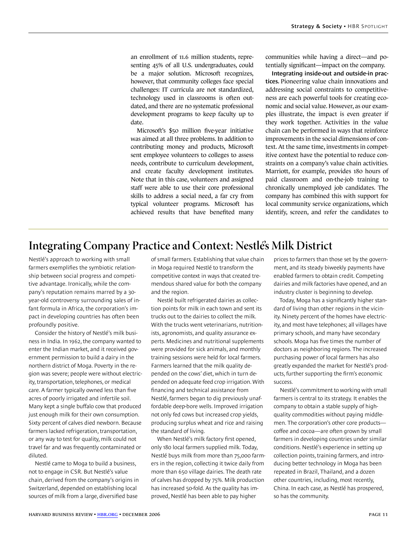an enrollment of 11.6 million students, representing 45% of all U.S. undergraduates, could be a major solution. Microsoft recognizes, however, that community colleges face special challenges: IT curricula are not standardized, technology used in classrooms is often outdated, and there are no systematic professional development programs to keep faculty up to date.

Microsoft's \$50 million five-year initiative was aimed at all three problems. In addition to contributing money and products, Microsoft sent employee volunteers to colleges to assess needs, contribute to curriculum development, and create faculty development institutes. Note that in this case, volunteers and assigned staff were able to use their core professional skills to address a social need, a far cry from typical volunteer programs. Microsoft has achieved results that have benefited many

communities while having a direct—and potentially significant—impact on the company.

**Integrating inside-out and outside-in practices.** Pioneering value chain innovations and addressing social constraints to competitiveness are each powerful tools for creating economic and social value. However, as our examples illustrate, the impact is even greater if they work together. Activities in the value chain can be performed in ways that reinforce improvements in the social dimensions of context. At the same time, investments in competitive context have the potential to reduce constraints on a company's value chain activities. Marriott, for example, provides 180 hours of paid classroom and on-the-job training to chronically unemployed job candidates. The company has combined this with support for local community service organizations, which identify, screen, and refer the candidates to

# **Integrating Company Practice and Context: Nestlé's Milk District**

Nestlé's approach to working with small farmers exemplifies the symbiotic relationship between social progress and competitive advantage. Ironically, while the company's reputation remains marred by a 30 year-old controversy surrounding sales of infant formula in Africa, the corporation's impact in developing countries has often been profoundly positive.

Consider the history of Nestlé's milk business in India. In 1962, the company wanted to enter the Indian market, and it received government permission to build a dairy in the northern district of Moga. Poverty in the region was severe; people were without electricity, transportation, telephones, or medical care. A farmer typically owned less than five acres of poorly irrigated and infertile soil. Many kept a single buffalo cow that produced just enough milk for their own consumption. Sixty percent of calves died newborn. Because farmers lacked refrigeration, transportation, or any way to test for quality, milk could not travel far and was frequently contaminated or diluted.

Nestlé came to Moga to build a business, not to engage in CSR. But Nestlé's value chain, derived from the company's origins in Switzerland, depended on establishing local sources of milk from a large, diversified base

of small farmers. Establishing that value chain in Moga required Nestlé to transform the competitive context in ways that created tremendous shared value for both the company and the region.

Nestlé built refrigerated dairies as collection points for milk in each town and sent its trucks out to the dairies to collect the milk. With the trucks went veterinarians, nutritionists, agronomists, and quality assurance experts. Medicines and nutritional supplements were provided for sick animals, and monthly training sessions were held for local farmers. Farmers learned that the milk quality depended on the cows' diet, which in turn depended on adequate feed crop irrigation. With financing and technical assistance from Nestlé, farmers began to dig previously unaffordable deep-bore wells. Improved irrigation not only fed cows but increased crop yields, producing surplus wheat and rice and raising the standard of living.

When Nestlé's milk factory first opened, only 180 local farmers supplied milk. Today, Nestlé buys milk from more than 75,000 farmers in the region, collecting it twice daily from more than 650 village dairies. The death rate of calves has dropped by 75%. Milk production has increased 50-fold. As the quality has improved, Nestlé has been able to pay higher

prices to farmers than those set by the government, and its steady biweekly payments have enabled farmers to obtain credit. Competing dairies and milk factories have opened, and an industry cluster is beginning to develop.

Today, Moga has a significantly higher standard of living than other regions in the vicinity. Ninety percent of the homes have electricity, and most have telephones; all villages have primary schools, and many have secondary schools. Moga has five times the number of doctors as neighboring regions. The increased purchasing power of local farmers has also greatly expanded the market for Nestlé's products, further supporting the firm's economic success.

Nestlé's commitment to working with small farmers is central to its strategy. It enables the company to obtain a stable supply of highquality commodities without paying middlemen. The corporation's other core products coffee and cocoa—are often grown by small farmers in developing countries under similar conditions. Nestlé's experience in setting up collection points, training farmers, and introducing better technology in Moga has been repeated in Brazil, Thailand, and a dozen other countries, including, most recently, China. In each case, as Nestlé has prospered, so has the community.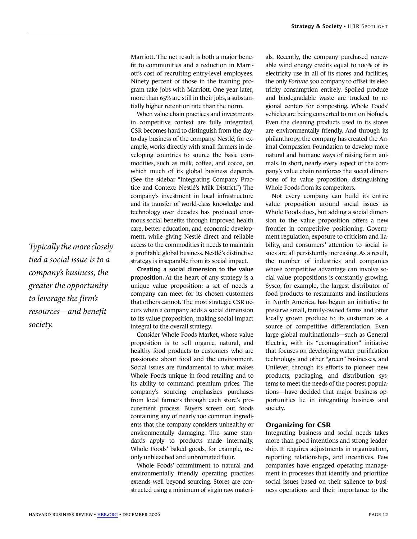fit to communities and a reduction in Marriott's cost of recruiting entry-level employees. Ninety percent of those in the training program take jobs with Marriott. One year later, more than 65% are still in their jobs, a substantially higher retention rate than the norm.

Marriott. The net result is both a major bene-

When value chain practices and investments in competitive context are fully integrated, CSR becomes hard to distinguish from the dayto-day business of the company. Nestlé, for example, works directly with small farmers in developing countries to source the basic commodities, such as milk, coffee, and cocoa, on which much of its global business depends. (See the sidebar "Integrating Company Practice and Context: Nestlé's Milk District.") The company's investment in local infrastructure and its transfer of world-class knowledge and technology over decades has produced enormous social benefits through improved health care, better education, and economic development, while giving Nestlé direct and reliable access to the commodities it needs to maintain a profitable global business. Nestlé's distinctive strategy is inseparable from its social impact.

**Creating a social dimension to the value proposition.** At the heart of any strategy is a unique value proposition: a set of needs a company can meet for its chosen customers that others cannot. The most strategic CSR occurs when a company adds a social dimension to its value proposition, making social impact integral to the overall strategy.

Consider Whole Foods Market, whose value proposition is to sell organic, natural, and healthy food products to customers who are passionate about food and the environment. Social issues are fundamental to what makes Whole Foods unique in food retailing and to its ability to command premium prices. The company's sourcing emphasizes purchases from local farmers through each store's procurement process. Buyers screen out foods containing any of nearly 100 common ingredients that the company considers unhealthy or environmentally damaging. The same standards apply to products made internally. Whole Foods' baked goods, for example, use only unbleached and unbromated flour.

Whole Foods' commitment to natural and environmentally friendly operating practices extends well beyond sourcing. Stores are constructed using a minimum of virgin raw materials. Recently, the company purchased renewable wind energy credits equal to 100% of its electricity use in all of its stores and facilities, the only *Fortune* 500 company to offset its electricity consumption entirely. Spoiled produce and biodegradable waste are trucked to regional centers for composting. Whole Foods' vehicles are being converted to run on biofuels. Even the cleaning products used in its stores are environmentally friendly. And through its philanthropy, the company has created the Animal Compassion Foundation to develop more natural and humane ways of raising farm animals. In short, nearly every aspect of the company's value chain reinforces the social dimensions of its value proposition, distinguishing Whole Foods from its competitors.

Not every company can build its entire value proposition around social issues as Whole Foods does, but adding a social dimension to the value proposition offers a new frontier in competitive positioning. Government regulation, exposure to criticism and liability, and consumers' attention to social issues are all persistently increasing. As a result, the number of industries and companies whose competitive advantage can involve social value propositions is constantly growing. Sysco, for example, the largest distributor of food products to restaurants and institutions in North America, has begun an initiative to preserve small, family-owned farms and offer locally grown produce to its customers as a source of competitive differentiation. Even large global multinationals—such as General Electric, with its "ecomagination" initiative that focuses on developing water purification technology and other "green" businesses, and Unilever, through its efforts to pioneer new products, packaging, and distribution systems to meet the needs of the poorest populations—have decided that major business opportunities lie in integrating business and society.

#### **Organizing for CSR**

Integrating business and social needs takes more than good intentions and strong leadership. It requires adjustments in organization, reporting relationships, and incentives. Few companies have engaged operating management in processes that identify and prioritize social issues based on their salience to business operations and their importance to the

*Typically the more closely tied a social issue is to a company's business, the greater the opportunity to leverage the firm's resources—and benefit society.*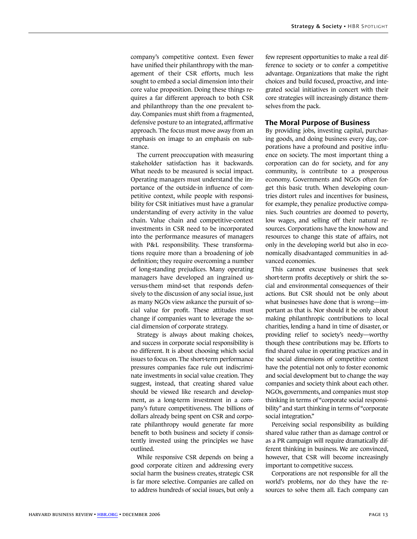company's competitive context. Even fewer have unified their philanthropy with the management of their CSR efforts, much less sought to embed a social dimension into their core value proposition. Doing these things requires a far different approach to both CSR and philanthropy than the one prevalent today. Companies must shift from a fragmented, defensive posture to an integrated, affirmative approach. The focus must move away from an emphasis on image to an emphasis on substance.

The current preoccupation with measuring stakeholder satisfaction has it backwards. What needs to be measured is social impact. Operating managers must understand the importance of the outside-in influence of competitive context, while people with responsibility for CSR initiatives must have a granular understanding of every activity in the value chain. Value chain and competitive-context investments in CSR need to be incorporated into the performance measures of managers with P&L responsibility. These transformations require more than a broadening of job definition; they require overcoming a number of long-standing prejudices. Many operating managers have developed an ingrained usversus-them mind-set that responds defensively to the discussion of any social issue, just as many NGOs view askance the pursuit of social value for profit. These attitudes must change if companies want to leverage the social dimension of corporate strategy.

Strategy is always about making choices, and success in corporate social responsibility is no different. It is about choosing which social issues to focus on. The short-term performance pressures companies face rule out indiscriminate investments in social value creation. They suggest, instead, that creating shared value should be viewed like research and development, as a long-term investment in a company's future competitiveness. The billions of dollars already being spent on CSR and corporate philanthropy would generate far more benefit to both business and society if consistently invested using the principles we have outlined.

While responsive CSR depends on being a good corporate citizen and addressing every social harm the business creates, strategic CSR is far more selective. Companies are called on to address hundreds of social issues, but only a

few represent opportunities to make a real difference to society or to confer a competitive advantage. Organizations that make the right choices and build focused, proactive, and integrated social initiatives in concert with their core strategies will increasingly distance themselves from the pack.

#### **The Moral Purpose of Business**

By providing jobs, investing capital, purchasing goods, and doing business every day, corporations have a profound and positive influence on society. The most important thing a corporation can do for society, and for any community, is contribute to a prosperous economy. Governments and NGOs often forget this basic truth. When developing countries distort rules and incentives for business, for example, they penalize productive companies. Such countries are doomed to poverty, low wages, and selling off their natural resources. Corporations have the know-how and resources to change this state of affairs, not only in the developing world but also in economically disadvantaged communities in advanced economies.

This cannot excuse businesses that seek short-term profits deceptively or shirk the social and environmental consequences of their actions. But CSR should not be only about what businesses have done that is wrong—important as that is. Nor should it be only about making philanthropic contributions to local charities, lending a hand in time of disaster, or providing relief to society's needy—worthy though these contributions may be. Efforts to find shared value in operating practices and in the social dimensions of competitive context have the potential not only to foster economic and social development but to change the way companies and society think about each other. NGOs, governments, and companies must stop thinking in terms of "corporate social responsibility" and start thinking in terms of "corporate social integration."

Perceiving social responsibility as building shared value rather than as damage control or as a PR campaign will require dramatically different thinking in business. We are convinced, however, that CSR will become increasingly important to competitive success.

Corporations are not responsible for all the world's problems, nor do they have the resources to solve them all. Each company can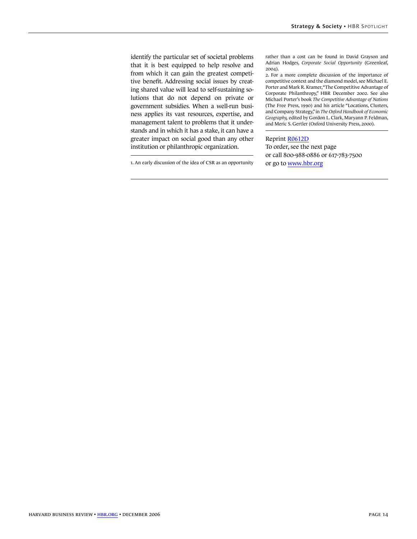identify the particular set of societal problems that it is best equipped to help resolve and from which it can gain the greatest competitive benefit. Addressing social issues by creating shared value will lead to self-sustaining solutions that do not depend on private or government subsidies. When a well-run business applies its vast resources, expertise, and management talent to problems that it understands and in which it has a stake, it can have a greater impact on social good than any other institution or philanthropic organization.

1. An early discussion of the idea of CSR as an opportunity

rather than a cost can be found in David Grayson and Adrian Hodges, *Corporate Social Opportunity* (Greenleaf, 2004).

2. For a more complete discussion of the importance of competitive context and the diamond model, see Michael E. Porter and Mark R. Kramer, "The Competitive Advantage of Corporate Philanthropy," HBR December 2002. See also Michael Porter's book *The Competitive Advantage of Nations* (The Free Press, 1990) and his article "Locations, Clusters, and Company Strategy," in *The Oxford Handbook of Economic Geography,* edited by Gordon L. Clark, Maryann P. Feldman, and Meric S. Gertler (Oxford University Press, 2000).

#### Reprint [R0612D](http://harvardbusinessonline.hbsp.harvard.edu/relay.jhtml?name=itemdetail&referral=4320&id=R0612D)

To order, see the next page or call 800-988-0886 or 617-783-7500 or go to [www.hbr.org](http://www.hbr.org)